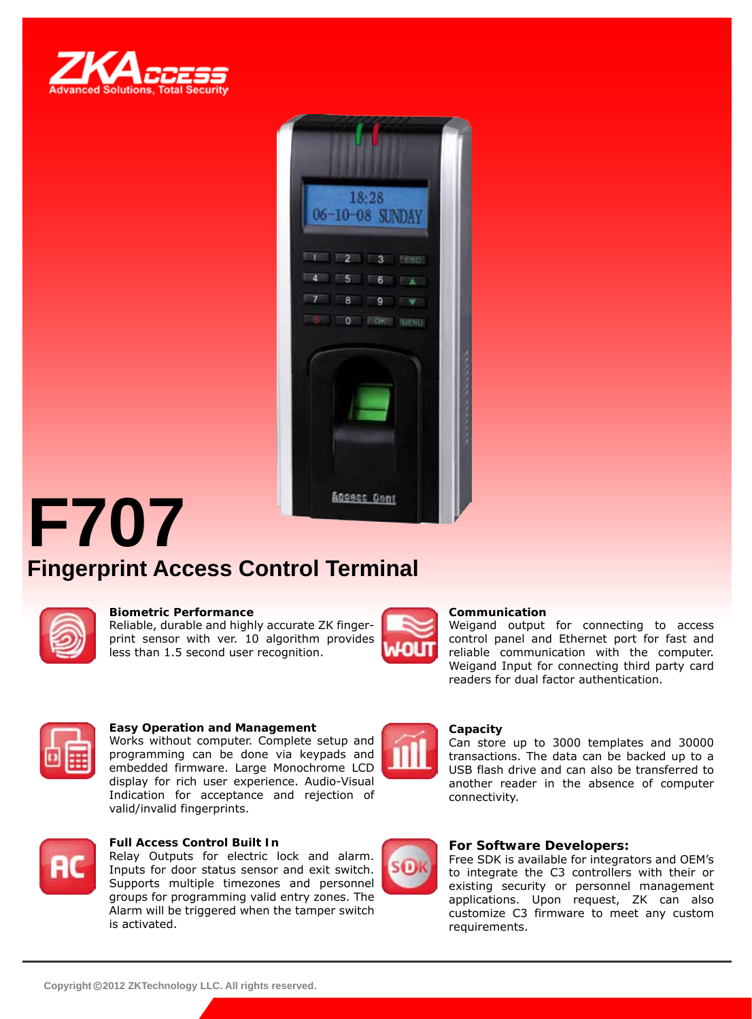



# **F707 Fingerprint Access Control Terminal**



#### **Biometric Performance**

Reliable, durable and highly accurate ZK fingerprint sensor with ver. 10 algorithm provides less than 1.5 second user recognition.



#### **Communication**

Weigand output for connecting to access control panel and Ethernet port for fast and reliable communication with the computer. Weigand Input for connecting third party card readers for dual factor authentication.



#### **Easy Operation and Management**

Works without computer. Complete setup and programming can be done via keypads and embedded firmware. Large Monochrome LCD display for rich user experience. Audio-Visual Indication for acceptance and rejection of valid/invalid fingerprints.



#### **Full Access Control Built In**

Relay Outputs for electric lock and alarm. Inputs for door status sensor and exit switch. Supports multiple timezones and personnel groups for programming valid entry zones. The Alarm will be triggered when the tamper switch is activated.



SO

#### **Capacity**

Can store up to 3000 templates and 30000 transactions. The data can be backed up to a USB flash drive and can also be transferred to another reader in the absence of computer connectivity.

#### **For Software Developers:**

Free SDK is available for integrators and OEM's to integrate the C3 controllers with their or existing security or personnel management applications. Upon request, ZK can also customize C3 firmware to meet any custom requirements.